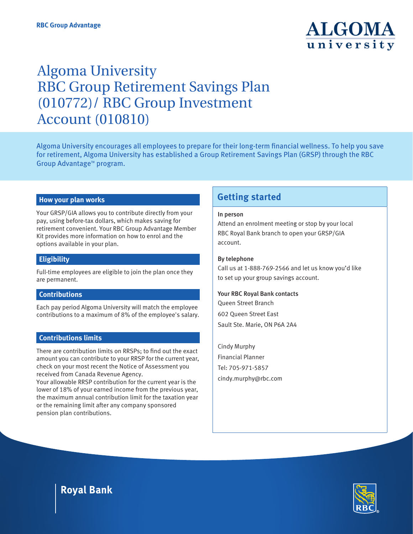

# Algoma University RBC Group Retirement Savings Plan (010772)/ RBC Group Investment Account (010810)

Algoma University encourages all employees to prepare for their long-term financial wellness. To help you save for retirement, Algoma University has established a Group Retirement Savings Plan (GRSP) through the RBC Group Advantage<sup>™</sup> program.

#### **How your plan works**

Your GRSP/GIA allows you to contribute directly from your pay, using before-tax dollars, which makes saving for retirement convenient. Your RBC Group Advantage Member Kit provides more information on how to enrol and the options available in your plan.

#### **Eligibility**

Full-time employees are eligible to join the plan once they are permanent.

#### **Contributions**

Each pay period Algoma University will match the employee contributions to a maximum of 8% of the employee's salary.

#### **Contributions limits**

There are contribution limits on RRSPs; to find out the exact amount you can contribute to your RRSP for the current year, check on your most recent the Notice of Assessment you received from Canada Revenue Agency.

Your allowable RRSP contribution for the current year is the lower of 18% of your earned income from the previous year, the maximum annual contribution limit for the taxation year or the remaining limit after any company sponsored pension plan contributions.

## **Getting started**

#### In person

Attend an enrolment meeting or stop by your local RBC Royal Bank branch to open your GRSP/GIA account.

#### By telephone

Call us at 1-888-769-2566 and let us know you'd like to set up your group savings account.

#### Your RBC Royal Bank contacts

Queen Street Branch 602 Queen Street East Sault Ste. Marie, ON P6A 2A4

Cindy Murphy Financial Planner Tel: 705-971-5857 cindy.murphy@rbc.com

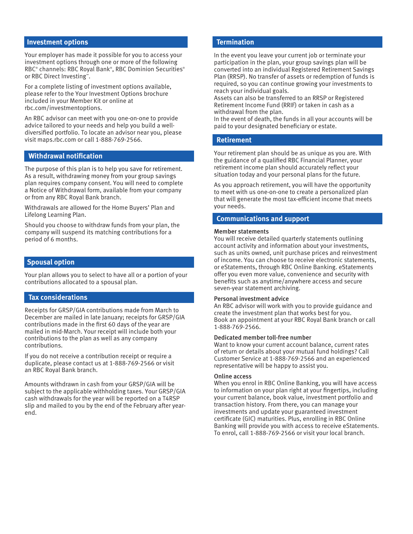#### **Investment options**

Your employer has made it possible for you to access your investment options through one or more of the following RBC® channels: RBC Royal Bank® , RBC Dominion Securities® or RBC Direct Investing™ .

For a complete listing of investment options available, please refer to the Your Investment Options brochure included in your Member Kit or online at rbc.com/investmentoptions.

An RBC advisor can meet with you one-on-one to provide advice tailored to your needs and help you build a welldiversified portfolio. To locate an advisor near you, please visit maps.rbc.com or call 1-888-769-2566.

#### **Withdrawal notification**

The purpose of this plan is to help you save for retirement. As a result, withdrawing money from your group savings plan requires company consent. You will need to complete a Notice of Withdrawal form, available from your company or from any RBC Royal Bank branch.

Withdrawals are allowed for the Home Buyers' Plan and Lifelong Learning Plan.

Should you choose to withdraw funds from your plan, the company will suspend its matching contributions for a period of 6 months.

#### **Spousal option**

Your plan allows you to select to have all or a portion of your contributions allocated to a spousal plan.

#### **Tax considerations**

Receipts for GRSP/GIA contributions made from March to December are mailed in late January; receipts for GRSP/GIA contributions made in the first 60 days of the year are mailed in mid-March. Your receipt will include both your contributions to the plan as well as any company contributions.

If you do not receive a contribution receipt or require a duplicate, please contact us at 1-888-769-2566 or visit an RBC Royal Bank branch.

Amounts withdrawn in cash from your GRSP/GIA will be subject to the applicable withholding taxes. Your GRSP/GIA cash withdrawals for the year will be reported on a T4RSP slip and mailed to you by the end of the February after yearend.

#### **Termination**

In the event you leave your current job or terminate your participation in the plan, your group savings plan will be converted into an individual Registered Retirement Savings Plan (RRSP). No transfer of assets or redemption of funds is required, so you can continue growing your investments to reach your individual goals.

Assets can also be transferred to an RRSP or Registered Retirement Income Fund (RRIF) or taken in cash as a withdrawal from the plan.

In the event of death, the funds in all your accounts will be paid to your designated beneficiary or estate.

#### **Retirement**

Your retirement plan should be as unique as you are. With the guidance of a qualified RBC Financial Planner, your retirement income plan should accurately reflect your situation today and your personal plans for the future.

As you approach retirement, you will have the opportunity to meet with us one-on-one to create a personalized plan that will generate the most tax-efficient income that meets your needs.

#### **Communications and support**

#### Member statements

You will receive detailed quarterly statements outlining account activity and information about your investments, such as units owned, unit purchase prices and reinvestment of income. You can choose to receive electronic statements, or eStatements, through RBC Online Banking. eStatements offer you even more value, convenience and security with benefits such as anytime/anywhere access and secure seven-year statement archiving.

#### Personal investment advice

An RBC advisor will work with you to provide guidance and create the investment plan that works best for you. Book an appointment at your RBC Royal Bank branch or call 1-888-769-2566.

#### Dedicated member toll-free number

Want to know your current account balance, current rates of return or details about your mutual fund holdings? Call Customer Service at 1-888-769-2566 and an experienced representative will be happy to assist you.

#### Online access

When you enrol in RBC Online Banking, you will have access to information on your plan right at your fingertips, including your current balance, book value, investment portfolio and transaction history. From there, you can manage your investments and update your guaranteed investment certificate (GIC) maturities. Plus, enrolling in RBC Online Banking will provide you with access to receive eStatements. To enrol, call 1-888-769-2566 or visit your local branch.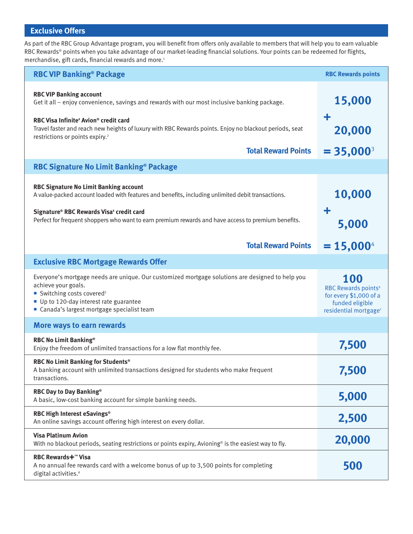# **Exclusive Offers**

As part of the RBC Group Advantage program, you will benefit from offers only available to members that will help you to earn valuable RBC Rewards® points when you take advantage of our market-leading financial solutions. Your points can be redeemed for flights, merchandise, gift cards, financial rewards and more.<sup>1</sup>

| <b>RBC VIP Banking® Package</b>                                                                                                                                                                                                                                                                                                                          | <b>RBC Rewards points</b>                                                                                                |
|----------------------------------------------------------------------------------------------------------------------------------------------------------------------------------------------------------------------------------------------------------------------------------------------------------------------------------------------------------|--------------------------------------------------------------------------------------------------------------------------|
| <b>RBC VIP Banking account</b><br>Get it all - enjoy convenience, savings and rewards with our most inclusive banking package.<br>RBC Visa Infinite <sup>*</sup> Avion <sup>®</sup> credit card<br>Travel faster and reach new heights of luxury with RBC Rewards points. Enjoy no blackout periods, seat<br>restrictions or points expiry. <sup>2</sup> | 15,000<br>÷<br>20,000                                                                                                    |
| <b>Total Reward Points</b>                                                                                                                                                                                                                                                                                                                               | $= 35,000^3$                                                                                                             |
| RBC Signature No Limit Banking <sup>®</sup> Package                                                                                                                                                                                                                                                                                                      |                                                                                                                          |
| <b>RBC Signature No Limit Banking account</b><br>A value-packed account loaded with features and benefits, including unlimited debit transactions.<br>Signature® RBC Rewards Visa <sup>+</sup> credit card<br>Perfect for frequent shoppers who want to earn premium rewards and have access to premium benefits.                                        | 10,000<br>÷<br>5,000                                                                                                     |
| <b>Total Reward Points</b>                                                                                                                                                                                                                                                                                                                               | $= 15,000^4$                                                                                                             |
| <b>Exclusive RBC Mortgage Rewards Offer</b>                                                                                                                                                                                                                                                                                                              |                                                                                                                          |
| Everyone's mortgage needs are unique. Our customized mortgage solutions are designed to help you<br>achieve your goals.<br>Switching costs covered <sup>5</sup><br>Up to 120-day interest rate guarantee<br>■ Canada's largest mortgage specialist team                                                                                                  | 100<br>RBC Rewards points <sup>6</sup><br>for every \$1,000 of a<br>funded eligible<br>residential mortgage <sup>7</sup> |
| More ways to earn rewards                                                                                                                                                                                                                                                                                                                                |                                                                                                                          |
| <b>RBC No Limit Banking®</b><br>Enjoy the freedom of unlimited transactions for a low flat monthly fee.                                                                                                                                                                                                                                                  | 7,500                                                                                                                    |
| RBC No Limit Banking for Students <sup>®</sup><br>A banking account with unlimited transactions designed for students who make frequent<br>transactions.                                                                                                                                                                                                 | 7,500                                                                                                                    |
| RBC Day to Day Banking®<br>A basic, low-cost banking account for simple banking needs.                                                                                                                                                                                                                                                                   | 5,000                                                                                                                    |
| RBC High Interest eSavings®<br>An online savings account offering high interest on every dollar.                                                                                                                                                                                                                                                         | 2,500                                                                                                                    |
| <b>Visa Platinum Avion</b><br>With no blackout periods, seating restrictions or points expiry, Avioning <sup>®</sup> is the easiest way to fly.                                                                                                                                                                                                          | 20,000                                                                                                                   |
| <b>RBC Rewards+™ Visa</b><br>A no annual fee rewards card with a welcome bonus of up to 3,500 points for completing<br>digital activities. <sup>8</sup>                                                                                                                                                                                                  | 500                                                                                                                      |